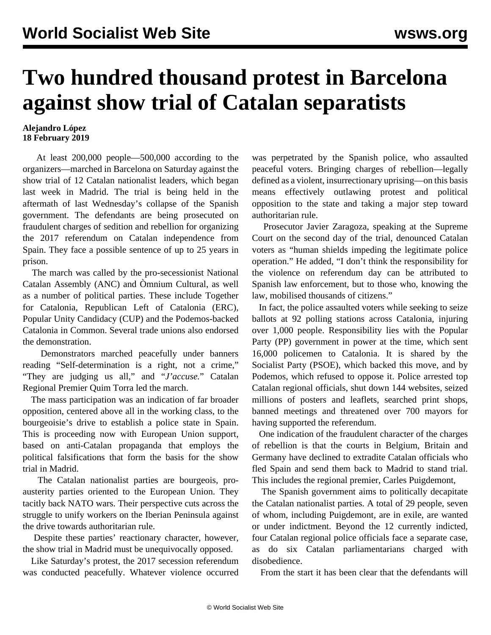## **Two hundred thousand protest in Barcelona against show trial of Catalan separatists**

## **Alejandro López 18 February 2019**

 At least 200,000 people—500,000 according to the organizers—marched in Barcelona on Saturday against the show trial of 12 Catalan nationalist leaders, which began last week in Madrid. The trial is being held in the aftermath of last Wednesday's collapse of the Spanish government. The defendants are being prosecuted on fraudulent charges of sedition and rebellion for organizing the 2017 referendum on Catalan independence from Spain. They face a possible sentence of up to 25 years in prison.

 The march was called by the pro-secessionist National Catalan Assembly (ANC) and Òmnium Cultural, as well as a number of political parties. These include Together for Catalonia, Republican Left of Catalonia (ERC), Popular Unity Candidacy (CUP) and the Podemos-backed Catalonia in Common. Several trade unions also endorsed the demonstration.

 Demonstrators marched peacefully under banners reading "Self-determination is a right, not a crime," "They are judging us all," and "*J'accuse.*" Catalan Regional Premier Quim Torra led the march.

 The mass participation was an indication of far broader opposition, centered above all in the working class, to the bourgeoisie's drive to establish a police state in Spain. This is proceeding now with European Union support, based on anti-Catalan propaganda that employs the political falsifications that form the basis for the show trial in Madrid.

 The Catalan nationalist parties are bourgeois, proausterity parties oriented to the European Union. They tacitly back NATO wars. Their perspective cuts across the struggle to unify workers on the Iberian Peninsula against the drive towards authoritarian rule.

 Despite these parties' reactionary character, however, the show trial in Madrid must be unequivocally opposed.

 Like Saturday's protest, the 2017 secession referendum was conducted peacefully. Whatever violence occurred was perpetrated by the Spanish police, who assaulted peaceful voters. Bringing charges of rebellion—legally defined as a violent, insurrectionary uprising—on this basis means effectively outlawing protest and political opposition to the state and taking a major step toward authoritarian rule.

 Prosecutor Javier Zaragoza, speaking at the Supreme Court on the second day of the trial, denounced Catalan voters as "human shields impeding the legitimate police operation." He added, "I don't think the responsibility for the violence on referendum day can be attributed to Spanish law enforcement, but to those who, knowing the law, mobilised thousands of citizens."

 In fact, the police assaulted voters while seeking to seize ballots at 92 polling stations across Catalonia, injuring over 1,000 people. Responsibility lies with the Popular Party (PP) government in power at the time, which sent 16,000 policemen to Catalonia. It is shared by the Socialist Party (PSOE), which backed this move, and by Podemos, which refused to oppose it. Police arrested top Catalan regional officials, shut down 144 websites, seized millions of posters and leaflets, searched print shops, banned meetings and threatened over 700 mayors for having supported the referendum.

 One indication of the fraudulent character of the charges of rebellion is that the courts in Belgium, Britain and Germany have declined to extradite Catalan officials who fled Spain and send them back to Madrid to stand trial. This includes the regional premier, Carles Puigdemont,

 The Spanish government aims to politically decapitate the Catalan nationalist parties. A total of 29 people, seven of whom, including Puigdemont, are in exile, are wanted or under indictment. Beyond the 12 currently indicted, four Catalan regional police officials face a separate case, as do six Catalan parliamentarians charged with disobedience.

From the start it has been clear that the defendants will